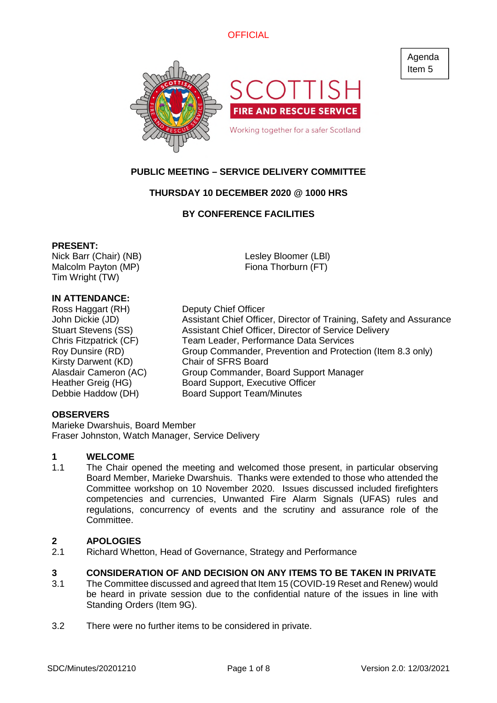

# **PUBLIC MEETING – SERVICE DELIVERY COMMITTEE**

## **THURSDAY 10 DECEMBER 2020 @ 1000 HRS**

## **BY CONFERENCE FACILITIES**

## **PRESENT:**

Nick Barr (Chair) (NB) Malcolm Payton (MP) Tim Wright (TW)

Lesley Bloomer (LBl) Fiona Thorburn (FT)

## **IN ATTENDANCE:**

Ross Haggart (RH) Deputy Chief Officer Kirsty Darwent (KD) Chair of SFRS Board

John Dickie (JD) Assistant Chief Officer, Director of Training, Safety and Assurance Stuart Stevens (SS) Assistant Chief Officer, Director of Service Delivery Chris Fitzpatrick (CF) Team Leader, Performance Data Services Roy Dunsire (RD) Group Commander, Prevention and Protection (Item 8.3 only) Alasdair Cameron (AC) Group Commander, Board Support Manager Heather Greig (HG) Board Support, Executive Officer Debbie Haddow (DH) Board Support Team/Minutes

## **OBSERVERS**

Marieke Dwarshuis, Board Member Fraser Johnston, Watch Manager, Service Delivery

### **1 WELCOME**

1.1 The Chair opened the meeting and welcomed those present, in particular observing Board Member, Marieke Dwarshuis. Thanks were extended to those who attended the Committee workshop on 10 November 2020. Issues discussed included firefighters competencies and currencies, Unwanted Fire Alarm Signals (UFAS) rules and regulations, concurrency of events and the scrutiny and assurance role of the Committee.

## **2 APOLOGIES**

2.1 Richard Whetton, Head of Governance, Strategy and Performance

#### **3 CONSIDERATION OF AND DECISION ON ANY ITEMS TO BE TAKEN IN PRIVATE**

- 3.1 The Committee discussed and agreed that Item 15 (COVID-19 Reset and Renew) would be heard in private session due to the confidential nature of the issues in line with Standing Orders (Item 9G).
- 3.2 There were no further items to be considered in private.

Agenda Item 5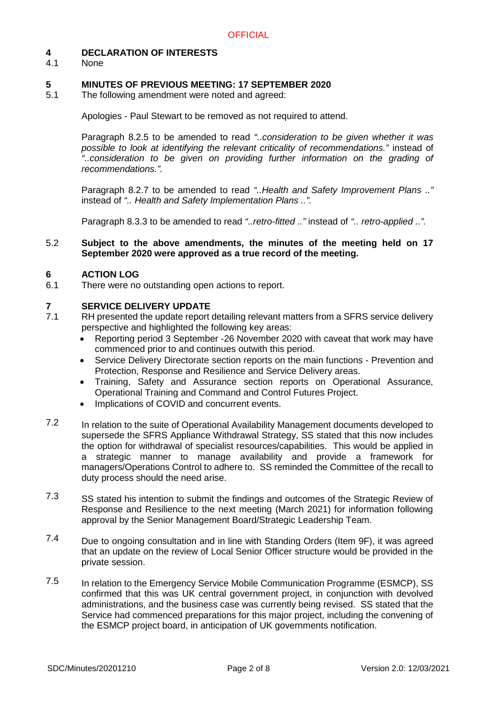## **4 DECLARATION OF INTERESTS**

4.1 None

## **5 MINUTES OF PREVIOUS MEETING: 17 SEPTEMBER 2020**

5.1 The following amendment were noted and agreed:

Apologies - Paul Stewart to be removed as not required to attend.

Paragraph 8.2.5 to be amended to read *"..consideration to be given whether it was possible to look at identifying the relevant criticality of recommendations."* instead of *"..consideration to be given on providing further information on the grading of recommendations.".*

Paragraph 8.2.7 to be amended to read *"..Health and Safety Improvement Plans .."* instead of *".. Health and Safety Implementation Plans ..".*

Paragraph 8.3.3 to be amended to read *"..retro-fitted .."* instead of *".. retro-applied ..".*

#### 5.2 **Subject to the above amendments, the minutes of the meeting held on 17 September 2020 were approved as a true record of the meeting.**

#### **6 ACTION LOG**

6.1 There were no outstanding open actions to report.

## **7 SERVICE DELIVERY UPDATE**

- 7.1 RH presented the update report detailing relevant matters from a SFRS service delivery perspective and highlighted the following key areas:
	- Reporting period 3 September -26 November 2020 with caveat that work may have commenced prior to and continues outwith this period.
	- Service Delivery Directorate section reports on the main functions Prevention and Protection, Response and Resilience and Service Delivery areas.
	- Training, Safety and Assurance section reports on Operational Assurance, Operational Training and Command and Control Futures Project.
	- Implications of COVID and concurrent events.
- 7.2 In relation to the suite of Operational Availability Management documents developed to supersede the SFRS Appliance Withdrawal Strategy, SS stated that this now includes the option for withdrawal of specialist resources/capabilities. This would be applied in a strategic manner to manage availability and provide a framework for managers/Operations Control to adhere to. SS reminded the Committee of the recall to duty process should the need arise.
- 7.3 SS stated his intention to submit the findings and outcomes of the Strategic Review of Response and Resilience to the next meeting (March 2021) for information following approval by the Senior Management Board/Strategic Leadership Team.
- 7.4 Due to ongoing consultation and in line with Standing Orders (Item 9F), it was agreed that an update on the review of Local Senior Officer structure would be provided in the private session.
- 7.5 In relation to the Emergency Service Mobile Communication Programme (ESMCP), SS confirmed that this was UK central government project, in conjunction with devolved administrations, and the business case was currently being revised. SS stated that the Service had commenced preparations for this major project, including the convening of the ESMCP project board, in anticipation of UK governments notification.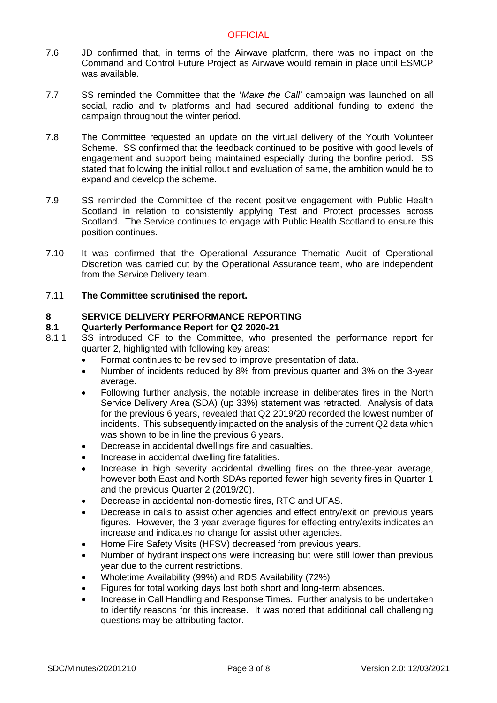- 7.6 JD confirmed that, in terms of the Airwave platform, there was no impact on the Command and Control Future Project as Airwave would remain in place until ESMCP was available.
- 7.7 SS reminded the Committee that the '*Make the Call'* campaign was launched on all social, radio and tv platforms and had secured additional funding to extend the campaign throughout the winter period.
- 7.8 The Committee requested an update on the virtual delivery of the Youth Volunteer Scheme. SS confirmed that the feedback continued to be positive with good levels of engagement and support being maintained especially during the bonfire period. SS stated that following the initial rollout and evaluation of same, the ambition would be to expand and develop the scheme.
- 7.9 SS reminded the Committee of the recent positive engagement with Public Health Scotland in relation to consistently applying Test and Protect processes across Scotland. The Service continues to engage with Public Health Scotland to ensure this position continues.
- 7.10 It was confirmed that the Operational Assurance Thematic Audit of Operational Discretion was carried out by the Operational Assurance team, who are independent from the Service Delivery team.
- 7.11 **The Committee scrutinised the report.**

## **8 SERVICE DELIVERY PERFORMANCE REPORTING**

## **8.1 Quarterly Performance Report for Q2 2020-21**

- 8.1.1 SS introduced CF to the Committee, who presented the performance report for quarter 2, highlighted with following key areas:
	- Format continues to be revised to improve presentation of data.
	- Number of incidents reduced by 8% from previous quarter and 3% on the 3-year average.
	- Following further analysis, the notable increase in deliberates fires in the North Service Delivery Area (SDA) (up 33%) statement was retracted. Analysis of data for the previous 6 years, revealed that Q2 2019/20 recorded the lowest number of incidents. This subsequently impacted on the analysis of the current Q2 data which was shown to be in line the previous 6 years.
	- Decrease in accidental dwellings fire and casualties.
	- Increase in accidental dwelling fire fatalities.
	- Increase in high severity accidental dwelling fires on the three-year average, however both East and North SDAs reported fewer high severity fires in Quarter 1 and the previous Quarter 2 (2019/20).
	- Decrease in accidental non-domestic fires, RTC and UFAS.
	- Decrease in calls to assist other agencies and effect entry/exit on previous years figures. However, the 3 year average figures for effecting entry/exits indicates an increase and indicates no change for assist other agencies.
	- Home Fire Safety Visits (HFSV) decreased from previous years.
	- Number of hydrant inspections were increasing but were still lower than previous year due to the current restrictions.
	- Wholetime Availability (99%) and RDS Availability (72%)
	- Figures for total working days lost both short and long-term absences.
	- Increase in Call Handling and Response Times. Further analysis to be undertaken to identify reasons for this increase. It was noted that additional call challenging questions may be attributing factor.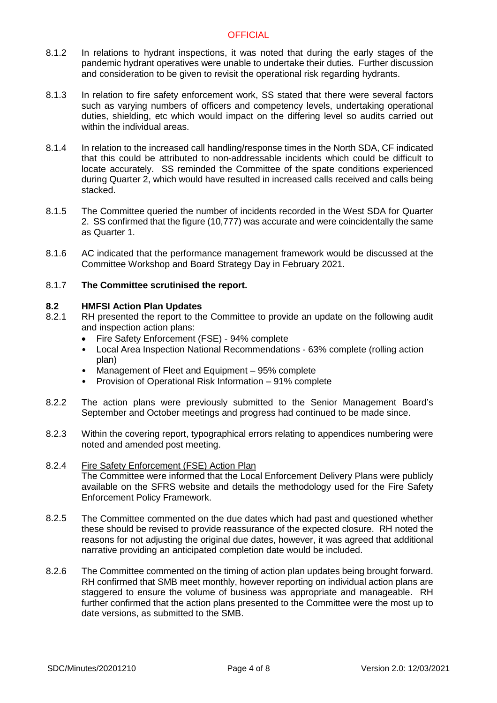- 8.1.2 In relations to hydrant inspections, it was noted that during the early stages of the pandemic hydrant operatives were unable to undertake their duties. Further discussion and consideration to be given to revisit the operational risk regarding hydrants.
- 8.1.3 In relation to fire safety enforcement work, SS stated that there were several factors such as varying numbers of officers and competency levels, undertaking operational duties, shielding, etc which would impact on the differing level so audits carried out within the individual areas.
- 8.1.4 In relation to the increased call handling/response times in the North SDA, CF indicated that this could be attributed to non-addressable incidents which could be difficult to locate accurately. SS reminded the Committee of the spate conditions experienced during Quarter 2, which would have resulted in increased calls received and calls being stacked.
- 8.1.5 The Committee queried the number of incidents recorded in the West SDA for Quarter 2. SS confirmed that the figure (10,777) was accurate and were coincidentally the same as Quarter 1.
- 8.1.6 AC indicated that the performance management framework would be discussed at the Committee Workshop and Board Strategy Day in February 2021.

#### 8.1.7 **The Committee scrutinised the report.**

#### **8.2 HMFSI Action Plan Updates**

- 8.2.1 RH presented the report to the Committee to provide an update on the following audit and inspection action plans:
	- Fire Safety Enforcement (FSE) 94% complete
	- Local Area Inspection National Recommendations 63% complete (rolling action plan)
	- Management of Fleet and Equipment 95% complete
	- Provision of Operational Risk Information 91% complete
- 8.2.2 The action plans were previously submitted to the Senior Management Board's September and October meetings and progress had continued to be made since.
- 8.2.3 Within the covering report, typographical errors relating to appendices numbering were noted and amended post meeting.
- 8.2.4 Fire Safety Enforcement (FSE) Action Plan The Committee were informed that the Local Enforcement Delivery Plans were publicly available on the SFRS website and details the methodology used for the Fire Safety Enforcement Policy Framework.
- 8.2.5 The Committee commented on the due dates which had past and questioned whether these should be revised to provide reassurance of the expected closure. RH noted the reasons for not adjusting the original due dates, however, it was agreed that additional narrative providing an anticipated completion date would be included.
- 8.2.6 The Committee commented on the timing of action plan updates being brought forward. RH confirmed that SMB meet monthly, however reporting on individual action plans are staggered to ensure the volume of business was appropriate and manageable. RH further confirmed that the action plans presented to the Committee were the most up to date versions, as submitted to the SMB.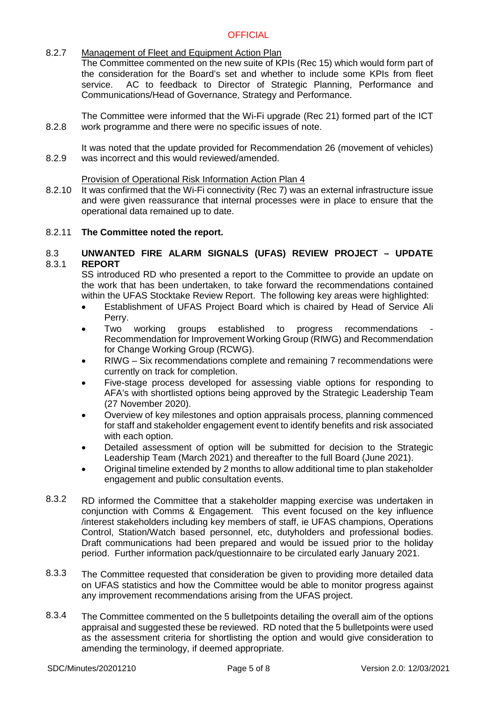#### 8.2.7 Management of Fleet and Equipment Action Plan

The Committee commented on the new suite of KPIs (Rec 15) which would form part of the consideration for the Board's set and whether to include some KPIs from fleet service. AC to feedback to Director of Strategic Planning, Performance and Communications/Head of Governance, Strategy and Performance.

8.2.8 The Committee were informed that the Wi-Fi upgrade (Rec 21) formed part of the ICT work programme and there were no specific issues of note.

8.2.9 It was noted that the update provided for Recommendation 26 (movement of vehicles) was incorrect and this would reviewed/amended.

## Provision of Operational Risk Information Action Plan 4

8.2.10 It was confirmed that the Wi-Fi connectivity (Rec 7) was an external infrastructure issue and were given reassurance that internal processes were in place to ensure that the operational data remained up to date.

## 8.2.11 **The Committee noted the report.**

#### 8.3 8.3.1 **UNWANTED FIRE ALARM SIGNALS (UFAS) REVIEW PROJECT – UPDATE REPORT**

SS introduced RD who presented a report to the Committee to provide an update on the work that has been undertaken, to take forward the recommendations contained within the UFAS Stocktake Review Report. The following key areas were highlighted:

- Establishment of UFAS Project Board which is chaired by Head of Service Ali Perry.
- Two working groups established to progress recommendations Recommendation for Improvement Working Group (RIWG) and Recommendation for Change Working Group (RCWG).
- RIWG Six recommendations complete and remaining 7 recommendations were currently on track for completion.
- Five-stage process developed for assessing viable options for responding to AFA's with shortlisted options being approved by the Strategic Leadership Team (27 November 2020).
- Overview of key milestones and option appraisals process, planning commenced for staff and stakeholder engagement event to identify benefits and risk associated with each option.
- Detailed assessment of option will be submitted for decision to the Strategic Leadership Team (March 2021) and thereafter to the full Board (June 2021).
- Original timeline extended by 2 months to allow additional time to plan stakeholder engagement and public consultation events.
- 8.3.2 RD informed the Committee that a stakeholder mapping exercise was undertaken in conjunction with Comms & Engagement. This event focused on the key influence /interest stakeholders including key members of staff, ie UFAS champions, Operations Control, Station/Watch based personnel, etc, dutyholders and professional bodies. Draft communications had been prepared and would be issued prior to the holiday period. Further information pack/questionnaire to be circulated early January 2021.
- 8.3.3 The Committee requested that consideration be given to providing more detailed data on UFAS statistics and how the Committee would be able to monitor progress against any improvement recommendations arising from the UFAS project.
- 8.3.4 The Committee commented on the 5 bulletpoints detailing the overall aim of the options appraisal and suggested these be reviewed. RD noted that the 5 bulletpoints were used as the assessment criteria for shortlisting the option and would give consideration to amending the terminology, if deemed appropriate.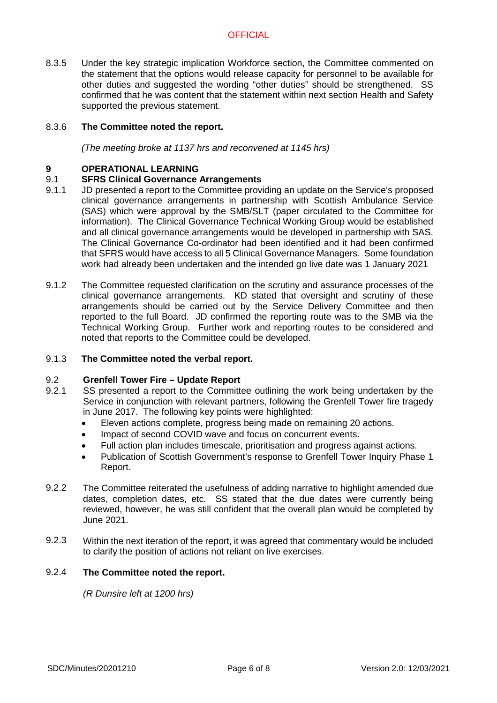8.3.5 Under the key strategic implication Workforce section, the Committee commented on the statement that the options would release capacity for personnel to be available for other duties and suggested the wording "other duties" should be strengthened. SS confirmed that he was content that the statement within next section Health and Safety supported the previous statement.

#### 8.3.6 **The Committee noted the report.**

*(The meeting broke at 1137 hrs and reconvened at 1145 hrs)*

### **9 OPERATIONAL LEARNING**

#### 9.1 **SFRS Clinical Governance Arrangements**

- 9.1.1 JD presented a report to the Committee providing an update on the Service's proposed clinical governance arrangements in partnership with Scottish Ambulance Service (SAS) which were approval by the SMB/SLT (paper circulated to the Committee for information). The Clinical Governance Technical Working Group would be established and all clinical governance arrangements would be developed in partnership with SAS. The Clinical Governance Co-ordinator had been identified and it had been confirmed that SFRS would have access to all 5 Clinical Governance Managers. Some foundation work had already been undertaken and the intended go live date was 1 January 2021
- 9.1.2 The Committee requested clarification on the scrutiny and assurance processes of the clinical governance arrangements. KD stated that oversight and scrutiny of these arrangements should be carried out by the Service Delivery Committee and then reported to the full Board. JD confirmed the reporting route was to the SMB via the Technical Working Group. Further work and reporting routes to be considered and noted that reports to the Committee could be developed.

#### 9.1.3 **The Committee noted the verbal report.**

#### 9.2 **Grenfell Tower Fire – Update Report**

- 9.2.1 SS presented a report to the Committee outlining the work being undertaken by the Service in conjunction with relevant partners, following the Grenfell Tower fire tragedy in June 2017. The following key points were highlighted:
	- Eleven actions complete, progress being made on remaining 20 actions.
	- Impact of second COVID wave and focus on concurrent events.
	- Full action plan includes timescale, prioritisation and progress against actions.
	- Publication of Scottish Government's response to Grenfell Tower Inquiry Phase 1 Report.
- 9.2.2 The Committee reiterated the usefulness of adding narrative to highlight amended due dates, completion dates, etc. SS stated that the due dates were currently being reviewed, however, he was still confident that the overall plan would be completed by June 2021.
- 9.2.3 Within the next iteration of the report, it was agreed that commentary would be included to clarify the position of actions not reliant on live exercises.

#### 9.2.4 **The Committee noted the report.**

*(R Dunsire left at 1200 hrs)*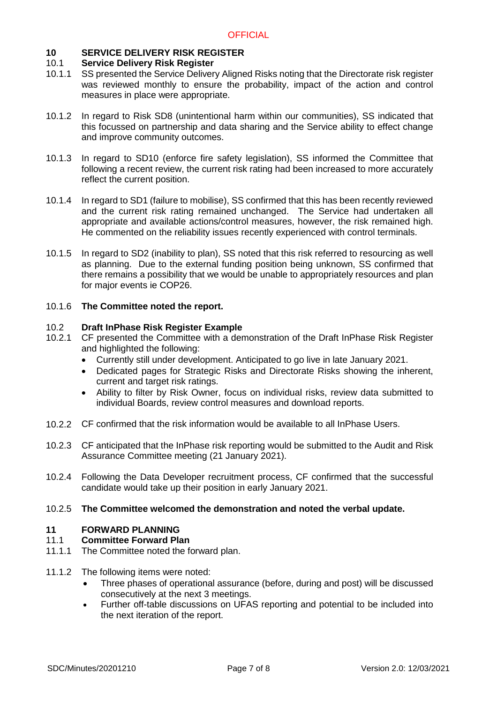## **10 SERVICE DELIVERY RISK REGISTER**

#### 10.1 **Service Delivery Risk Register**

- 10.1.1 SS presented the Service Delivery Aligned Risks noting that the Directorate risk register was reviewed monthly to ensure the probability, impact of the action and control measures in place were appropriate.
- 10.1.2 In regard to Risk SD8 (unintentional harm within our communities), SS indicated that this focussed on partnership and data sharing and the Service ability to effect change and improve community outcomes.
- 10.1.3 In regard to SD10 (enforce fire safety legislation), SS informed the Committee that following a recent review, the current risk rating had been increased to more accurately reflect the current position.
- 10.1.4 In regard to SD1 (failure to mobilise), SS confirmed that this has been recently reviewed and the current risk rating remained unchanged. The Service had undertaken all appropriate and available actions/control measures, however, the risk remained high. He commented on the reliability issues recently experienced with control terminals.
- 10.1.5 In regard to SD2 (inability to plan), SS noted that this risk referred to resourcing as well as planning. Due to the external funding position being unknown, SS confirmed that there remains a possibility that we would be unable to appropriately resources and plan for major events ie COP26.

## 10.1.6 **The Committee noted the report.**

#### 10.2 **Draft InPhase Risk Register Example**

- 10.2.1 CF presented the Committee with a demonstration of the Draft InPhase Risk Register and highlighted the following:
	- Currently still under development. Anticipated to go live in late January 2021.
	- Dedicated pages for Strategic Risks and Directorate Risks showing the inherent, current and target risk ratings.
	- Ability to filter by Risk Owner, focus on individual risks, review data submitted to individual Boards, review control measures and download reports.
- 10.2.2 CF confirmed that the risk information would be available to all InPhase Users.
- 10.2.3 CF anticipated that the InPhase risk reporting would be submitted to the Audit and Risk Assurance Committee meeting (21 January 2021).
- 10.2.4 Following the Data Developer recruitment process, CF confirmed that the successful candidate would take up their position in early January 2021.

#### 10.2.5 **The Committee welcomed the demonstration and noted the verbal update.**

## **11 FORWARD PLANNING**

## 11.1 **Committee Forward Plan**

- 11.1.1 The Committee noted the forward plan.
- 11.1.2 The following items were noted:
	- Three phases of operational assurance (before, during and post) will be discussed consecutively at the next 3 meetings.
	- Further off-table discussions on UFAS reporting and potential to be included into the next iteration of the report.